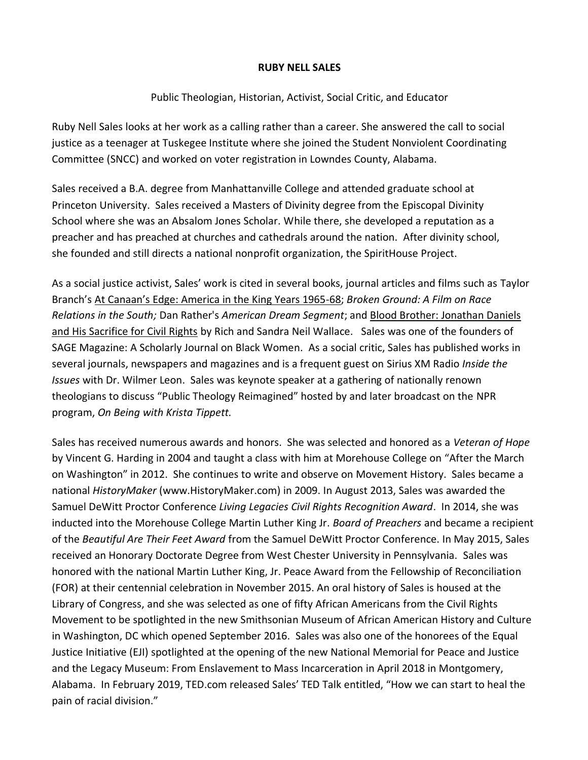## **RUBY NELL SALES**

## Public Theologian, Historian, Activist, Social Critic, and Educator

Ruby Nell Sales looks at her work as a calling rather than a career. She answered the call to social justice as a teenager at Tuskegee Institute where she joined the Student Nonviolent Coordinating Committee (SNCC) and worked on voter registration in Lowndes County, Alabama.

Sales received a B.A. degree from Manhattanville College and attended graduate school at Princeton University. Sales received a Masters of Divinity degree from the Episcopal Divinity School where she was an Absalom Jones Scholar. While there, she developed a reputation as a preacher and has preached at churches and cathedrals around the nation. After divinity school, she founded and still directs a national nonprofit organization, the SpiritHouse Project.

As a social justice activist, Sales' work is cited in several books, journal articles and films such as Taylor Branch's At Canaan's Edge: America in the King Years 1965-68; *Broken Ground: A Film on Race Relations in the South;* Dan Rather's *American Dream Segment*; and Blood Brother: Jonathan Daniels and His Sacrifice for Civil Rights by Rich and Sandra Neil Wallace. Sales was one of the founders of SAGE Magazine: A Scholarly Journal on Black Women. As a social critic, Sales has published works in several journals, newspapers and magazines and is a frequent guest on Sirius XM Radio *Inside the Issues* with Dr. Wilmer Leon. Sales was keynote speaker at a gathering of nationally renown theologians to discuss "Public Theology Reimagined" hosted by and later broadcast on the NPR program, *On Being with Krista Tippett.*

Sales has received numerous awards and honors. She was selected and honored as a *Veteran of Hope* by Vincent G. Harding in 2004 and taught a class with him at Morehouse College on "After the March on Washington" in 2012. She continues to write and observe on Movement History. Sales became a national *HistoryMaker* [\(www.HistoryMaker.com\)](http://www.historymaker.com/) in 2009. In August 2013, Sales was awarded the Samuel DeWitt Proctor Conference *Living Legacies Civil Rights Recognition Award*. In 2014, she was inducted into the Morehouse College Martin Luther King Jr. *Board of Preachers* and became a recipient of the *Beautiful Are Their Feet Award* from the Samuel DeWitt Proctor Conference. In May 2015, Sales received an Honorary Doctorate Degree from West Chester University in Pennsylvania. Sales was honored with the national Martin Luther King, Jr. Peace Award from the Fellowship of Reconciliation (FOR) at their centennial celebration in November 2015. An oral history of Sales is housed at the Library of Congress, and she was selected as one of fifty African Americans from the Civil Rights Movement to be spotlighted in the new Smithsonian Museum of African American History and Culture in Washington, DC which opened September 2016. Sales was also one of the honorees of the Equal Justice Initiative (EJI) spotlighted at the opening of the new National Memorial for Peace and Justice and the Legacy Museum: From Enslavement to Mass Incarceration in April 2018 in Montgomery, Alabama. In February 2019, TED.com released Sales' TED Talk entitled, "How we can start to heal the pain of racial division."